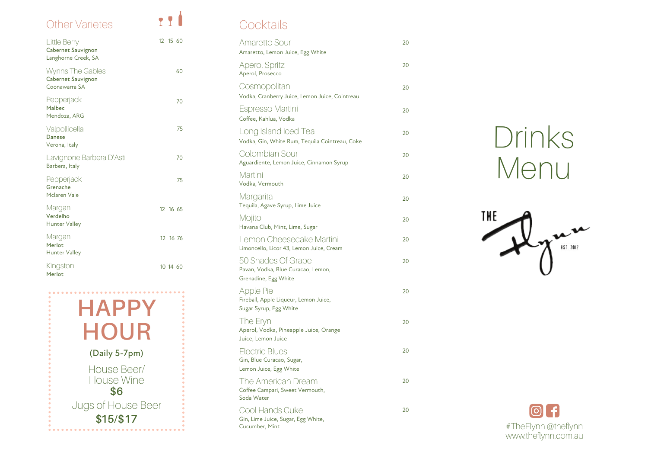

# Drinks Menu



| <b>Amaretto Sour</b><br>Amaretto, Lemon Juice, Egg White                         | 20 |
|----------------------------------------------------------------------------------|----|
| <b>Aperol Spritz</b><br>Aperol, Prosecco                                         | 20 |
| Cosmopolitan<br>Vodka, Cranberry Juice, Lemon Juice, Cointreau                   | 20 |
| Espresso Martini<br>Coffee, Kahlua, Vodka                                        | 20 |
| Long Island Iced Tea<br>Vodka, Gin, White Rum, Tequila Cointreau, Coke           | 20 |
| Colombian Sour<br>Aguardiente, Lemon Juice, Cinnamon Syrup                       | 20 |
| Martini<br>Vodka, Vermouth                                                       | 20 |
| Margarita<br>Tequila, Agave Syrup, Lime Juice                                    | 20 |
| Mojito<br>Havana Club, Mint, Lime, Sugar                                         | 20 |
| Lemon Cheesecake Martini<br>Limoncello, Licor 43, Lemon Juice, Cream             | 20 |
| 50 Shades Of Grape<br>Pavan, Vodka, Blue Curacao, Lemon,<br>Grenadine, Egg White | 20 |
| Apple Pie<br>Fireball, Apple Liqueur, Lemon Juice,<br>Sugar Syrup, Egg White     | 20 |
| The Eryn<br>Aperol, Vodka, Pineapple Juice, Orange<br>Juice, Lemon Juice         | 20 |
| <b>Electric Blues</b><br>Gin, Blue Curacao, Sugar,<br>Lemon Juice, Egg White     | 20 |
| The American Dream<br>Coffee Campari, Sweet Vermouth,<br>Soda Water              | 20 |
| Cool Hands Cuke<br>Gin, Lime Juice, Sugar, Egg White,<br>Cucumber, Mint          | 20 |



## **Cocktails**

### Other Varietes

| Little Berry<br><b>Cabernet Sauvignon</b><br>Langhorne Creek, SA | 12 15 60 |
|------------------------------------------------------------------|----------|
| Wynns The Gables<br>Cabernet Sauvignon<br>Coonawarra SA          | 60       |
| Pepperjack<br>Malbec<br>Mendoza, ARG                             | 70       |
| Valpollicella<br>Danese<br>Verona, Italy                         | 75       |
| Lavignone Barbera D'Asti<br>Barbera, Italy                       | 70       |
| Pepperjack<br>Grenache<br>Mclaren Vale                           | 75       |
| Margan<br>Verdelho<br><b>Hunter Valley</b>                       | 12 16 65 |
| Margan<br>Merlot<br>Hunter Valley                                | 12 16 76 |
| Kingston<br>Merlot                                               | 10 14 60 |

111